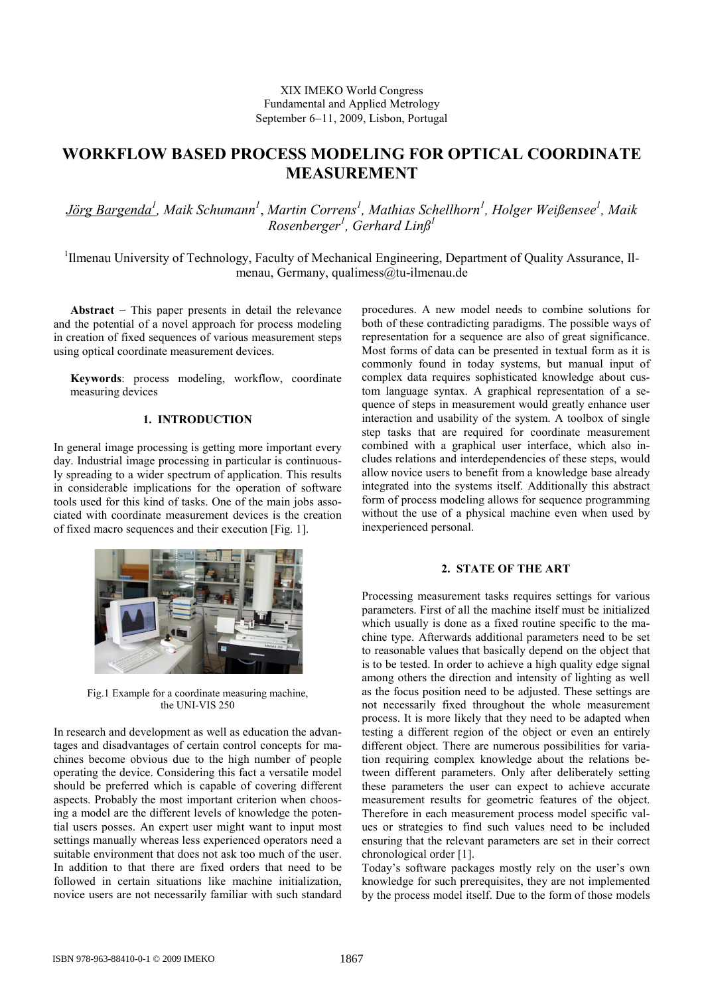# XIX IMEKO World Congress Fundamental and Applied Metrology September 6−11, 2009, Lisbon, Portugal

# **WORKFLOW BASED PROCESS MODELING FOR OPTICAL COORDINATE MEASUREMENT**

*Jörg Bargenda1 , Maik Schumann1* , *Martin Correns<sup>1</sup> , Mathias Schellhorn<sup>1</sup> , Holger Weißensee1 , Maik Rosenberger<sup>1</sup> , Gerhard Linß<sup>1</sup>*

<sup>1</sup>Ilmenau University of Technology, Faculty of Mechanical Engineering, Department of Quality Assurance, Ilmenau, Germany, qualimess@tu-ilmenau.de

**Abstract** − This paper presents in detail the relevance and the potential of a novel approach for process modeling in creation of fixed sequences of various measurement steps using optical coordinate measurement devices.

**Keywords**: process modeling, workflow, coordinate measuring devices

# **1. INTRODUCTION**

In general image processing is getting more important every day. Industrial image processing in particular is continuously spreading to a wider spectrum of application. This results in considerable implications for the operation of software tools used for this kind of tasks. One of the main jobs associated with coordinate measurement devices is the creation of fixed macro sequences and their execution [Fig. 1].



Fig.1 Example for a coordinate measuring machine, the UNI-VIS 250

In research and development as well as education the advantages and disadvantages of certain control concepts for machines become obvious due to the high number of people operating the device. Considering this fact a versatile model should be preferred which is capable of covering different aspects. Probably the most important criterion when choosing a model are the different levels of knowledge the potential users posses. An expert user might want to input most settings manually whereas less experienced operators need a suitable environment that does not ask too much of the user. In addition to that there are fixed orders that need to be followed in certain situations like machine initialization, novice users are not necessarily familiar with such standard

procedures. A new model needs to combine solutions for both of these contradicting paradigms. The possible ways of representation for a sequence are also of great significance. Most forms of data can be presented in textual form as it is commonly found in today systems, but manual input of complex data requires sophisticated knowledge about custom language syntax. A graphical representation of a sequence of steps in measurement would greatly enhance user interaction and usability of the system. A toolbox of single step tasks that are required for coordinate measurement combined with a graphical user interface, which also includes relations and interdependencies of these steps, would allow novice users to benefit from a knowledge base already integrated into the systems itself. Additionally this abstract form of process modeling allows for sequence programming without the use of a physical machine even when used by inexperienced personal.

#### **2. STATE OF THE ART**

Processing measurement tasks requires settings for various parameters. First of all the machine itself must be initialized which usually is done as a fixed routine specific to the machine type. Afterwards additional parameters need to be set to reasonable values that basically depend on the object that is to be tested. In order to achieve a high quality edge signal among others the direction and intensity of lighting as well as the focus position need to be adjusted. These settings are not necessarily fixed throughout the whole measurement process. It is more likely that they need to be adapted when testing a different region of the object or even an entirely different object. There are numerous possibilities for variation requiring complex knowledge about the relations between different parameters. Only after deliberately setting these parameters the user can expect to achieve accurate measurement results for geometric features of the object. Therefore in each measurement process model specific values or strategies to find such values need to be included ensuring that the relevant parameters are set in their correct chronological order [1].

Today's software packages mostly rely on the user's own knowledge for such prerequisites, they are not implemented by the process model itself. Due to the form of those models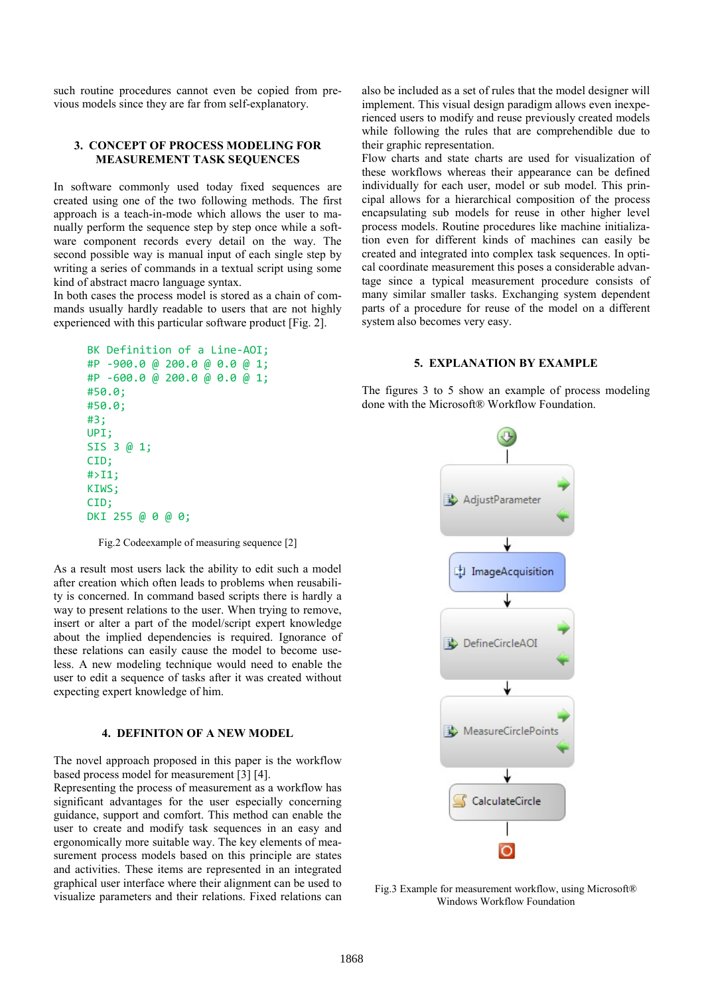such routine procedures cannot even be copied from previous models since they are far from self-explanatory.

### **3. CONCEPT OF PROCESS MODELING FOR MEASUREMENT TASK SEQUENCES**

In software commonly used today fixed sequences are created using one of the two following methods. The first approach is a teach-in-mode which allows the user to manually perform the sequence step by step once while a software component records every detail on the way. The second possible way is manual input of each single step by writing a series of commands in a textual script using some kind of abstract macro language syntax.

In both cases the process model is stored as a chain of commands usually hardly readable to users that are not highly experienced with this particular software product [Fig. 2].

```
BK Definition of a Line-AOI;
#P -900.0 @ 200.0 @ 0.0 @ 1;
#P -600.0 @ 200.0 @ 0.0 @ 1;
#50.0;
#50.0;
#3;
UPI;
SIS 3 @ 1;
CID;
#>I1;
KIWS;
CID;
DKI 255 @ 0 @ 0;
```
Fig.2 Codeexample of measuring sequence [2]

As a result most users lack the ability to edit such a model after creation which often leads to problems when reusability is concerned. In command based scripts there is hardly a way to present relations to the user. When trying to remove, insert or alter a part of the model/script expert knowledge about the implied dependencies is required. Ignorance of these relations can easily cause the model to become useless. A new modeling technique would need to enable the user to edit a sequence of tasks after it was created without expecting expert knowledge of him.

#### **4. DEFINITON OF A NEW MODEL**

The novel approach proposed in this paper is the workflow based process model for measurement [3] [4].

Representing the process of measurement as a workflow has significant advantages for the user especially concerning guidance, support and comfort. This method can enable the user to create and modify task sequences in an easy and ergonomically more suitable way. The key elements of measurement process models based on this principle are states and activities. These items are represented in an integrated graphical user interface where their alignment can be used to visualize parameters and their relations. Fixed relations can also be included as a set of rules that the model designer will implement. This visual design paradigm allows even inexperienced users to modify and reuse previously created models while following the rules that are comprehendible due to their graphic representation.

Flow charts and state charts are used for visualization of these workflows whereas their appearance can be defined individually for each user, model or sub model. This principal allows for a hierarchical composition of the process encapsulating sub models for reuse in other higher level process models. Routine procedures like machine initialization even for different kinds of machines can easily be created and integrated into complex task sequences. In optical coordinate measurement this poses a considerable advantage since a typical measurement procedure consists of many similar smaller tasks. Exchanging system dependent parts of a procedure for reuse of the model on a different system also becomes very easy.

#### **5. EXPLANATION BY EXAMPLE**

The figures 3 to 5 show an example of process modeling done with the Microsoft® Workflow Foundation.



Fig.3 Example for measurement workflow, using Microsoft<sup>®</sup> Windows Workflow Foundation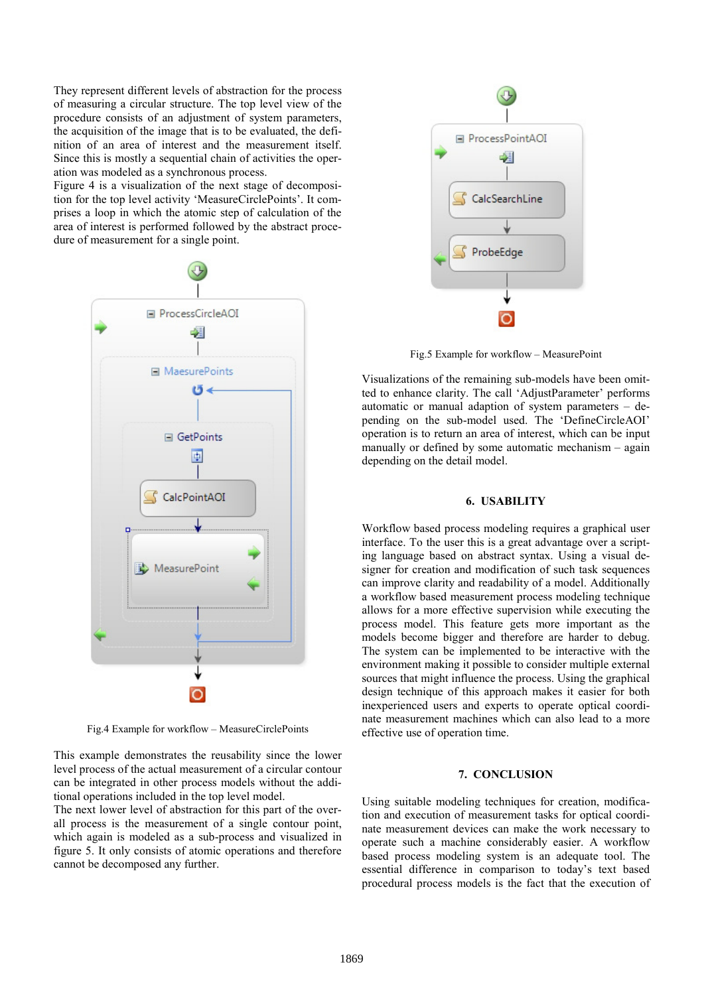They represent different levels of abstraction for the process of measuring a circular structure. The top level view of the procedure consists of an adjustment of system parameters, the acquisition of the image that is to be evaluated, the definition of an area of interest and the measurement itself. Since this is mostly a sequential chain of activities the operation was modeled as a synchronous process.

Figure 4 is a visualization of the next stage of decomposition for the top level activity 'MeasureCirclePoints'. It comprises a loop in which the atomic step of calculation of the area of interest is performed followed by the abstract procedure of measurement for a single point.



Fig.4 Example for workflow – MeasureCirclePoints

This example demonstrates the reusability since the lower level process of the actual measurement of a circular contour can be integrated in other process models without the additional operations included in the top level model.

The next lower level of abstraction for this part of the overall process is the measurement of a single contour point, which again is modeled as a sub-process and visualized in figure 5. It only consists of atomic operations and therefore cannot be decomposed any further.



Fig.5 Example for workflow – MeasurePoint

Visualizations of the remaining sub-models have been omitted to enhance clarity. The call 'AdjustParameter' performs automatic or manual adaption of system parameters – depending on the sub-model used. The 'DefineCircleAOI' operation is to return an area of interest, which can be input manually or defined by some automatic mechanism – again depending on the detail model.

### **6. USABILITY**

Workflow based process modeling requires a graphical user interface. To the user this is a great advantage over a scripting language based on abstract syntax. Using a visual designer for creation and modification of such task sequences can improve clarity and readability of a model. Additionally a workflow based measurement process modeling technique allows for a more effective supervision while executing the process model. This feature gets more important as the models become bigger and therefore are harder to debug. The system can be implemented to be interactive with the environment making it possible to consider multiple external sources that might influence the process. Using the graphical design technique of this approach makes it easier for both inexperienced users and experts to operate optical coordinate measurement machines which can also lead to a more effective use of operation time.

## **7. CONCLUSION**

Using suitable modeling techniques for creation, modification and execution of measurement tasks for optical coordinate measurement devices can make the work necessary to operate such a machine considerably easier. A workflow based process modeling system is an adequate tool. The essential difference in comparison to today's text based procedural process models is the fact that the execution of